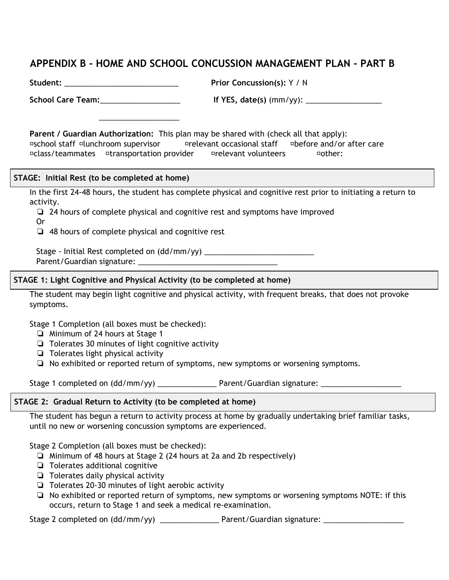# 부록 **B -** 자택및학교뇌진탕관리계획(**HOME AND SCHOOL CONCUSSION MANAGEMENT PLAN) - B**부

학생**:** \_\_\_\_\_\_\_\_\_\_\_\_\_\_\_\_\_\_\_\_\_\_\_\_\_\_\_ 과거 뇌진탕 경력**:** 예 / 아니요

\_\_\_\_\_\_\_\_\_\_\_\_\_\_\_\_\_\_\_

학교 관리팀:\_\_\_\_\_\_\_\_\_\_\_\_\_\_\_\_\_\_\_\_\_\_\_\_\_\_\_\_\_\_\_\_\_\_ '예'일 경우 날짜(월월/년년):\_\_\_\_\_\_\_\_\_\_\_\_\_\_\_\_\_\_\_\_

학부모/후견인 승인**:** 이 계획은 이 사람들과 공유될 수 있습니다(해당하는 항목 모두 체크): □학교 교직원 □구내식당 감독자 □ □관계자 □ □ □관리 전후 □급우/팀 동료 □수송 서비스 제공자 → □관련 자원봉사자 → □기타:

#### 단계: 초기 휴식(자택에서 작성)

해당 학생은 활동 복귀를 시작하기 전에 처음 24-48시간 동안 전면적인 신체적 및 인지적 휴식을 취한다.

❏ 24시간 동안 전면적인 신체적 및 인지적 휴식을 취한 후 증상이 호전되었다 또는 ❏ 48시간 동안 전면적인 신체적 및 인지적 휴식을 취했다

단계 - 초기 휴식 완료 날짜(일일/월월/년년) \_\_\_\_\_\_\_\_\_\_\_\_\_\_\_\_\_\_\_\_\_\_\_\_\_\_ 학부모/후견인 서명:

#### 1단계: 가벼운 인지 활동 및 신체 활동(자택에서 작성)

해당 학생은 자주 짧은 휴식을 취하면서 증상을 유발하지 않는 가벼운 인지 활동 및 신체 활동을 시작할 수 있다.

1단계 완료(모든 칸에 체크해야 함):

- ❏ 1단계에서 최소 24시간
- ❏ 30분간의 가벼운 인지 활동 가능
- ❏ 가벼운 신체 활동 가능
- ❏ 나타나거나 보고된 증상 재발, 새로운 증상, 또는 증상 악화 없음

1단계 완료 날짜(일일/월월/년년) \_\_\_\_\_\_\_\_\_\_\_\_\_\_ 학부모/후견인 서명: \_\_\_\_\_\_\_\_\_\_\_\_\_\_\_\_\_\_\_

#### 2단계: 점진적 활동 복귀(자택에서 작성)

해당 학생은 새로운 뇌진탕 증상이 나타나거나 증상이 악화하지 않을 때까지 자택에서 점진적으로 간단하고 익숙한 일을 함으로써 활동 복귀를 시작했다.

2단계 완료(모든 칸에 체크해야 함):

- ❏ 2단계에서 최소 48시간(2a 및 2b 각각 24시간)
- ❏ 추가적 인지 활동 가능
- ❏ 일상적 신체 활동 가능
- ❏ 20-30분간 가벼운 유산소 활동 가능
- ❏ 나타나거나 보고된 증상 재발, 새로운 증상, 또는 증상 악화 없음. 주의: 이런 일이 발생할 경우, 1단계로 돌아가고 재검진을 받아야 함.

2단계 완료 날짜(일일/월월/년년) \_\_\_\_\_\_\_\_\_\_\_\_\_\_ 학부모/후견인 서명: \_\_\_\_\_\_\_\_\_\_\_\_\_\_\_\_\_\_\_\_\_\_\_\_\_\_\_\_\_\_\_\_\_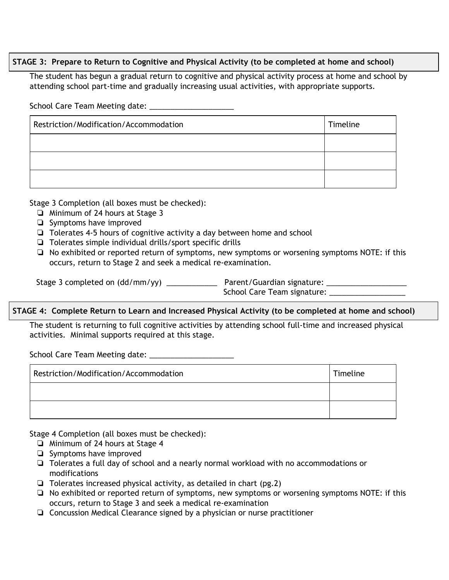## 3단계: 인지 활동 및 신체 활동 복귀 준비(자택 및 학교에서 작성)

해당 학생은 파트타임으로 학교에 다니면서 적절한 지원을 받으며 통상적 활동을 점진적으로 늘림으로써 자택 및 학교에서 점진적 인지 활동 및 신체 활동 복귀를 시작했다. 학교 관리팀 회의일:

| 제한/수정/조정 | 일시 |
|----------|----|
|          |    |
|          |    |
|          |    |

3단계 완료(모든 칸에 체크해야 함):

| سا | 74 |  |
|----|----|--|
|    |    |  |

 $\Box$ ❏ Tolerates 4-5 hours of cognitive activity a day between home and school

 $2<sub>3</sub>$ 

❏ Tolerates simple individual drills/sport specific drills

□ ddourxhiteited door stpageted dared usere to fasyme plto and symptoms or worsening symptoms NOTE: if this

3단계 완료 날짜(일일/월월/년년) \_\_\_\_\_\_\_\_\_\_\_\_\_ 학부모/후견인 서명: \_\_\_\_\_\_\_\_\_\_\_\_\_\_\_\_\_\_\_\_\_\_\_\_\_\_\_\_\_\_\_\_\_\_ 학교 관리팀 서명: \_\_\_\_\_\_\_\_\_\_\_\_\_\_\_\_\_\_\_\_\_\_\_\_

# 4단계: 학업 완전 복귀 및 증가된 신체 활동(자택 및 학교에서 작성)

The student is returning to full cognitive activities by attending school full-time and increased physical

activities. Minimal supports required at this stage.

학교 관리팀 회의일: \_\_\_\_\_\_\_\_\_\_\_\_\_\_\_\_\_\_\_\_

| 제한/수정/조정 | 일시 |
|----------|----|
|          |    |
|          |    |

4단계 완료(모든 칸에 체크해야 함):

❏ Minimum of 24 hours at Stage 4

- ❏ Symptoms have improved
- ❏ Tolerates a full day of school and a nearly normal workload with no accommodations or modifications
- ❏ Tolerates increased physical activity, as detailed in chart (pg.2)
- ❏ No exhibited or reported return of symptoms, new symptoms or worsening symptoms NOTE: if this occurs, return to Stage 3 and seek a medical re-examination
- ❏ Concussion Medical Clearance signed by a physician or nurse practitioner